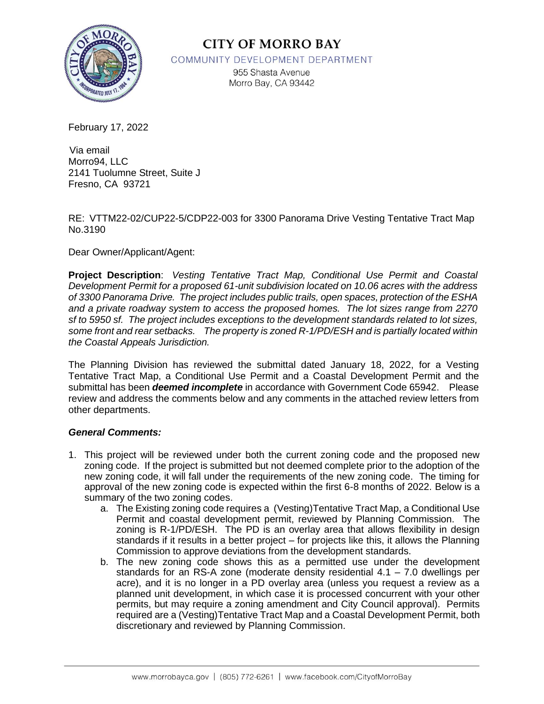

## **CITY OF MORRO BAY**

COMMUNITY DEVELOPMENT DEPARTMENT

955 Shasta Avenue Morro Bay, CA 93442

February 17, 2022

 Via email Morro94, LLC 2141 Tuolumne Street, Suite J Fresno, CA 93721

RE: VTTM22-02/CUP22-5/CDP22-003 for 3300 Panorama Drive Vesting Tentative Tract Map No.3190

Dear Owner/Applicant/Agent:

**Project Description**: *Vesting Tentative Tract Map, Conditional Use Permit and Coastal Development Permit for a proposed 61-unit subdivision located on 10.06 acres with the address of 3300 Panorama Drive. The project includes public trails, open spaces, protection of the ESHA and a private roadway system to access the proposed homes. The lot sizes range from 2270 sf to 5950 sf. The project includes exceptions to the development standards related to lot sizes, some front and rear setbacks. The property is zoned R-1/PD/ESH and is partially located within the Coastal Appeals Jurisdiction.*

The Planning Division has reviewed the submittal dated January 18, 2022, for a Vesting Tentative Tract Map, a Conditional Use Permit and a Coastal Development Permit and the submittal has been *deemed incomplete* in accordance with Government Code 65942. Please review and address the comments below and any comments in the attached review letters from other departments.

#### *General Comments:*

- 1. This project will be reviewed under both the current zoning code and the proposed new zoning code. If the project is submitted but not deemed complete prior to the adoption of the new zoning code, it will fall under the requirements of the new zoning code. The timing for approval of the new zoning code is expected within the first 6-8 months of 2022. Below is a summary of the two zoning codes.
	- a. The Existing zoning code requires a (Vesting)Tentative Tract Map, a Conditional Use Permit and coastal development permit, reviewed by Planning Commission. The zoning is R-1/PD/ESH. The PD is an overlay area that allows flexibility in design standards if it results in a better project – for projects like this, it allows the Planning Commission to approve deviations from the development standards.
	- b. The new zoning code shows this as a permitted use under the development standards for an RS-A zone (moderate density residential  $4.1 - 7.0$  dwellings per acre), and it is no longer in a PD overlay area (unless you request a review as a planned unit development, in which case it is processed concurrent with your other permits, but may require a zoning amendment and City Council approval). Permits required are a (Vesting)Tentative Tract Map and a Coastal Development Permit, both discretionary and reviewed by Planning Commission.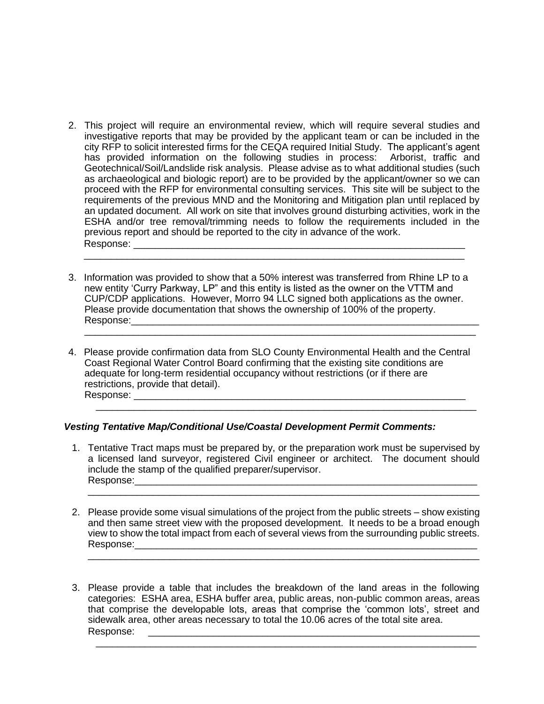- 2. This project will require an environmental review, which will require several studies and investigative reports that may be provided by the applicant team or can be included in the city RFP to solicit interested firms for the CEQA required Initial Study. The applicant's agent has provided information on the following studies in process: Arborist, traffic and Geotechnical/Soil/Landslide risk analysis. Please advise as to what additional studies (such as archaeological and biologic report) are to be provided by the applicant/owner so we can proceed with the RFP for environmental consulting services. This site will be subject to the requirements of the previous MND and the Monitoring and Mitigation plan until replaced by an updated document. All work on site that involves ground disturbing activities, work in the ESHA and/or tree removal/trimming needs to follow the requirements included in the previous report and should be reported to the city in advance of the work. Response: \_\_\_\_\_\_\_\_\_\_\_\_\_\_\_\_\_\_\_\_\_\_\_\_\_\_\_\_\_\_\_\_\_\_\_\_\_\_\_\_\_\_\_\_\_\_\_\_\_\_\_\_\_\_\_\_\_\_\_\_\_
- 3. Information was provided to show that a 50% interest was transferred from Rhine LP to a new entity 'Curry Parkway, LP" and this entity is listed as the owner on the VTTM and CUP/CDP applications. However, Morro 94 LLC signed both applications as the owner. Please provide documentation that shows the ownership of 100% of the property. Response:\_\_\_\_\_\_\_\_\_\_\_\_\_\_\_\_\_\_\_\_\_\_\_\_\_\_\_\_\_\_\_\_\_\_\_\_\_\_\_\_\_\_\_\_\_\_\_\_\_\_\_\_\_\_\_\_\_\_\_\_\_\_\_\_

\_\_\_\_\_\_\_\_\_\_\_\_\_\_\_\_\_\_\_\_\_\_\_\_\_\_\_\_\_\_\_\_\_\_\_\_\_\_\_\_\_\_\_\_\_\_\_\_\_\_\_\_\_\_\_\_\_\_\_\_\_\_\_\_\_\_\_\_\_\_\_\_

\_\_\_\_\_\_\_\_\_\_\_\_\_\_\_\_\_\_\_\_\_\_\_\_\_\_\_\_\_\_\_\_\_\_\_\_\_\_\_\_\_\_\_\_\_\_\_\_\_\_\_\_\_\_\_\_\_\_\_\_\_\_\_\_\_\_\_\_\_\_

4. Please provide confirmation data from SLO County Environmental Health and the Central Coast Regional Water Control Board confirming that the existing site conditions are adequate for long-term residential occupancy without restrictions (or if there are restrictions, provide that detail). Response: \_\_\_\_\_\_\_\_\_\_\_\_\_\_\_\_\_\_\_\_\_\_\_\_\_\_\_\_\_\_\_\_\_\_\_\_\_\_\_\_\_\_\_\_\_\_\_\_\_\_\_\_\_\_\_\_\_\_\_\_\_

#### *Vesting Tentative Map/Conditional Use/Coastal Development Permit Comments:*

1. Tentative Tract maps must be prepared by, or the preparation work must be supervised by a licensed land surveyor, registered Civil engineer or architect. The document should include the stamp of the qualified preparer/supervisor. Response:

\_\_\_\_\_\_\_\_\_\_\_\_\_\_\_\_\_\_\_\_\_\_\_\_\_\_\_\_\_\_\_\_\_\_\_\_\_\_\_\_\_\_\_\_\_\_\_\_\_\_\_\_\_\_\_\_\_\_\_\_\_\_\_\_\_\_\_\_\_\_\_\_

\_\_\_\_\_\_\_\_\_\_\_\_\_\_\_\_\_\_\_\_\_\_\_\_\_\_\_\_\_\_\_\_\_\_\_\_\_\_\_\_\_\_\_\_\_\_\_\_\_\_\_\_\_\_\_\_\_\_\_\_\_\_\_\_\_\_\_\_\_\_

2. Please provide some visual simulations of the project from the public streets – show existing and then same street view with the proposed development. It needs to be a broad enough view to show the total impact from each of several views from the surrounding public streets. Response:\_\_\_\_\_\_\_\_\_\_\_\_\_\_\_\_\_\_\_\_\_\_\_\_\_\_\_\_\_\_\_\_\_\_\_\_\_\_\_\_\_\_\_\_\_\_\_\_\_\_\_\_\_\_\_\_\_\_\_\_\_\_\_

\_\_\_\_\_\_\_\_\_\_\_\_\_\_\_\_\_\_\_\_\_\_\_\_\_\_\_\_\_\_\_\_\_\_\_\_\_\_\_\_\_\_\_\_\_\_\_\_\_\_\_\_\_\_\_\_\_\_\_\_\_\_\_\_\_\_\_\_\_\_\_\_

3. Please provide a table that includes the breakdown of the land areas in the following categories: ESHA area, ESHA buffer area, public areas, non-public common areas, areas that comprise the developable lots, areas that comprise the 'common lots', street and sidewalk area, other areas necessary to total the 10.06 acres of the total site area. Response: \_\_\_\_\_\_\_\_\_\_\_\_\_\_\_\_\_\_\_\_\_\_\_\_\_\_\_\_\_\_\_\_\_\_\_\_\_\_\_\_\_\_\_\_\_\_\_\_\_\_\_\_\_\_\_\_\_\_\_\_\_

\_\_\_\_\_\_\_\_\_\_\_\_\_\_\_\_\_\_\_\_\_\_\_\_\_\_\_\_\_\_\_\_\_\_\_\_\_\_\_\_\_\_\_\_\_\_\_\_\_\_\_\_\_\_\_\_\_\_\_\_\_\_\_\_\_\_\_\_\_\_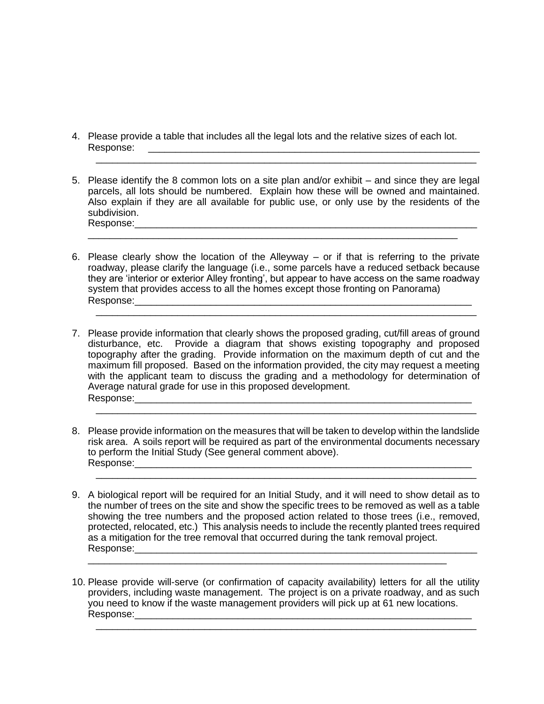- 4. Please provide a table that includes all the legal lots and the relative sizes of each lot. Response: \_\_\_\_\_\_\_\_\_\_\_\_\_\_\_\_\_\_\_\_\_\_\_\_\_\_\_\_\_\_\_\_\_\_\_\_\_\_\_\_\_\_\_\_\_\_\_\_\_\_\_\_\_\_\_\_\_\_\_\_\_
- 5. Please identify the 8 common lots on a site plan and/or exhibit and since they are legal parcels, all lots should be numbered. Explain how these will be owned and maintained. Also explain if they are all available for public use, or only use by the residents of the subdivision. Response:\_\_\_\_\_\_\_\_\_\_\_\_\_\_\_\_\_\_\_\_\_\_\_\_\_\_\_\_\_\_\_\_\_\_\_\_\_\_\_\_\_\_\_\_\_\_\_\_\_\_\_\_\_\_\_\_\_\_\_\_\_\_\_

\_\_\_\_\_\_\_\_\_\_\_\_\_\_\_\_\_\_\_\_\_\_\_\_\_\_\_\_\_\_\_\_\_\_\_\_\_\_\_\_\_\_\_\_\_\_\_\_\_\_\_\_\_\_\_\_\_\_\_\_\_\_\_\_\_\_\_\_

\_\_\_\_\_\_\_\_\_\_\_\_\_\_\_\_\_\_\_\_\_\_\_\_\_\_\_\_\_\_\_\_\_\_\_\_\_\_\_\_\_\_\_\_\_\_\_\_\_\_\_\_\_\_\_\_\_\_\_\_\_\_\_\_\_\_\_\_\_\_

6. Please clearly show the location of the Alleyway – or if that is referring to the private roadway, please clarify the language (i.e., some parcels have a reduced setback because they are 'interior or exterior Alley fronting', but appear to have access on the same roadway system that provides access to all the homes except those fronting on Panorama) Response:\_\_\_\_\_\_\_\_\_\_\_\_\_\_\_\_\_\_\_\_\_\_\_\_\_\_\_\_\_\_\_\_\_\_\_\_\_\_\_\_\_\_\_\_\_\_\_\_\_\_\_\_\_\_\_\_\_\_\_\_\_\_

\_\_\_\_\_\_\_\_\_\_\_\_\_\_\_\_\_\_\_\_\_\_\_\_\_\_\_\_\_\_\_\_\_\_\_\_\_\_\_\_\_\_\_\_\_\_\_\_\_\_\_\_\_\_\_\_\_\_\_\_\_\_\_\_\_\_\_\_\_\_

- 7. Please provide information that clearly shows the proposed grading, cut/fill areas of ground disturbance, etc. Provide a diagram that shows existing topography and proposed topography after the grading. Provide information on the maximum depth of cut and the maximum fill proposed. Based on the information provided, the city may request a meeting with the applicant team to discuss the grading and a methodology for determination of Average natural grade for use in this proposed development. Response:\_\_\_\_\_\_\_\_\_\_\_\_\_\_\_\_\_\_\_\_\_\_\_\_\_\_\_\_\_\_\_\_\_\_\_\_\_\_\_\_\_\_\_\_\_\_\_\_\_\_\_\_\_\_\_\_\_\_\_\_\_\_
- 8. Please provide information on the measures that will be taken to develop within the landslide risk area. A soils report will be required as part of the environmental documents necessary to perform the Initial Study (See general comment above). Response:\_\_\_\_\_\_\_\_\_\_\_\_\_\_\_\_\_\_\_\_\_\_\_\_\_\_\_\_\_\_\_\_\_\_\_\_\_\_\_\_\_\_\_\_\_\_\_\_\_\_\_\_\_\_\_\_\_\_\_\_\_\_

\_\_\_\_\_\_\_\_\_\_\_\_\_\_\_\_\_\_\_\_\_\_\_\_\_\_\_\_\_\_\_\_\_\_\_\_\_\_\_\_\_\_\_\_\_\_\_\_\_\_\_\_\_\_\_\_\_\_\_\_\_\_\_\_\_\_\_\_\_\_

\_\_\_\_\_\_\_\_\_\_\_\_\_\_\_\_\_\_\_\_\_\_\_\_\_\_\_\_\_\_\_\_\_\_\_\_\_\_\_\_\_\_\_\_\_\_\_\_\_\_\_\_\_\_\_\_\_\_\_\_\_\_\_\_\_\_\_\_\_\_

9. A biological report will be required for an Initial Study, and it will need to show detail as to the number of trees on the site and show the specific trees to be removed as well as a table showing the tree numbers and the proposed action related to those trees (i.e., removed, protected, relocated, etc.) This analysis needs to include the recently planted trees required as a mitigation for the tree removal that occurred during the tank removal project. Response:\_\_\_\_\_\_\_\_\_\_\_\_\_\_\_\_\_\_\_\_\_\_\_\_\_\_\_\_\_\_\_\_\_\_\_\_\_\_\_\_\_\_\_\_\_\_\_\_\_\_\_\_\_\_\_\_\_\_\_\_\_\_\_

\_\_\_\_\_\_\_\_\_\_\_\_\_\_\_\_\_\_\_\_\_\_\_\_\_\_\_\_\_\_\_\_\_\_\_\_\_\_\_\_\_\_\_\_\_\_\_\_\_\_\_\_\_\_\_\_\_\_\_\_\_\_\_\_\_\_

10. Please provide will-serve (or confirmation of capacity availability) letters for all the utility providers, including waste management. The project is on a private roadway, and as such you need to know if the waste management providers will pick up at 61 new locations. Response:

\_\_\_\_\_\_\_\_\_\_\_\_\_\_\_\_\_\_\_\_\_\_\_\_\_\_\_\_\_\_\_\_\_\_\_\_\_\_\_\_\_\_\_\_\_\_\_\_\_\_\_\_\_\_\_\_\_\_\_\_\_\_\_\_\_\_\_\_\_\_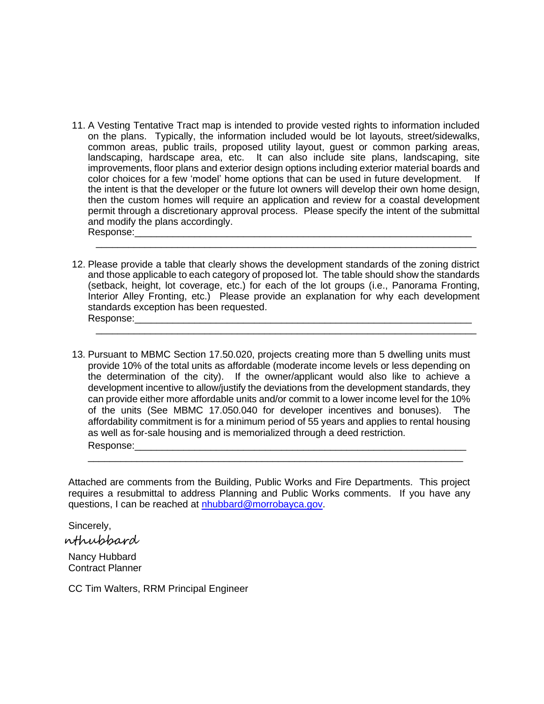- 11. A Vesting Tentative Tract map is intended to provide vested rights to information included on the plans. Typically, the information included would be lot layouts, street/sidewalks, common areas, public trails, proposed utility layout, guest or common parking areas, landscaping, hardscape area, etc. It can also include site plans, landscaping, site improvements, floor plans and exterior design options including exterior material boards and color choices for a few 'model' home options that can be used in future development. If the intent is that the developer or the future lot owners will develop their own home design, then the custom homes will require an application and review for a coastal development permit through a discretionary approval process. Please specify the intent of the submittal and modify the plans accordingly. Response:
- 12. Please provide a table that clearly shows the development standards of the zoning district and those applicable to each category of proposed lot. The table should show the standards (setback, height, lot coverage, etc.) for each of the lot groups (i.e., Panorama Fronting, Interior Alley Fronting, etc.) Please provide an explanation for why each development standards exception has been requested. Response:

\_\_\_\_\_\_\_\_\_\_\_\_\_\_\_\_\_\_\_\_\_\_\_\_\_\_\_\_\_\_\_\_\_\_\_\_\_\_\_\_\_\_\_\_\_\_\_\_\_\_\_\_\_\_\_\_\_\_\_\_\_\_\_\_\_\_\_\_\_\_

\_\_\_\_\_\_\_\_\_\_\_\_\_\_\_\_\_\_\_\_\_\_\_\_\_\_\_\_\_\_\_\_\_\_\_\_\_\_\_\_\_\_\_\_\_\_\_\_\_\_\_\_\_\_\_\_\_\_\_\_\_\_\_\_\_\_\_\_\_\_

13. Pursuant to MBMC Section 17.50.020, projects creating more than 5 dwelling units must provide 10% of the total units as affordable (moderate income levels or less depending on the determination of the city). If the owner/applicant would also like to achieve a development incentive to allow/justify the deviations from the development standards, they can provide either more affordable units and/or commit to a lower income level for the 10% of the units (See MBMC 17.050.040 for developer incentives and bonuses). The affordability commitment is for a minimum period of 55 years and applies to rental housing as well as for-sale housing and is memorialized through a deed restriction. Response:

Attached are comments from the Building, Public Works and Fire Departments. This project requires a resubmittal to address Planning and Public Works comments. If you have any questions, I can be reached at [nhubbard@morrobayca.gov.](mailto:nhubbard@morrobayca.gov)

\_\_\_\_\_\_\_\_\_\_\_\_\_\_\_\_\_\_\_\_\_\_\_\_\_\_\_\_\_\_\_\_\_\_\_\_\_\_\_\_\_\_\_\_\_\_\_\_\_\_\_\_\_\_\_\_\_\_\_\_\_\_\_\_\_\_\_\_\_

Sincerely,

nthubbard

Nancy Hubbard Contract Planner

CC Tim Walters, RRM Principal Engineer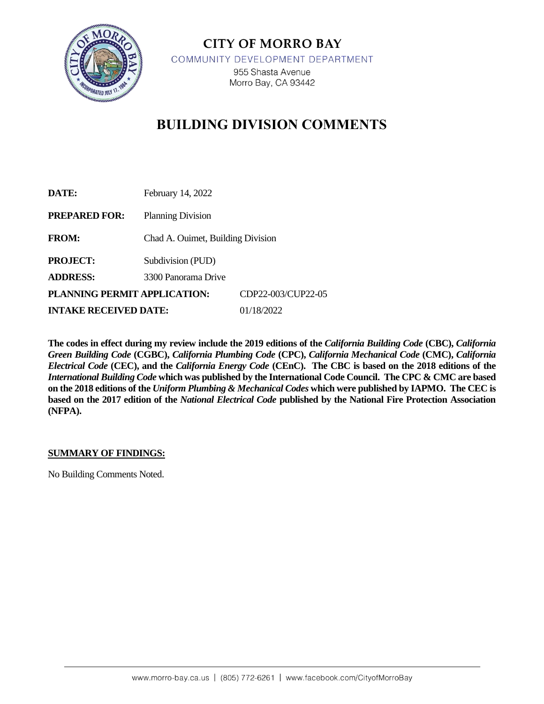

**CITY OF MORRO BAY** COMMUNITY DEVELOPMENT DEPARTMENT 955 Shasta Avenue Morro Bay, CA 93442

# **BUILDING DIVISION COMMENTS**

| DATE:                        | February 14, 2022                 |                    |
|------------------------------|-----------------------------------|--------------------|
| <b>PREPARED FOR:</b>         | <b>Planning Division</b>          |                    |
| <b>FROM:</b>                 | Chad A. Ouimet, Building Division |                    |
| <b>PROJECT:</b>              | Subdivision (PUD)                 |                    |
| <b>ADDRESS:</b>              | 3300 Panorama Drive               |                    |
| PLANNING PERMIT APPLICATION: |                                   | CDP22-003/CUP22-05 |
| <b>INTAKE RECEIVED DATE:</b> |                                   | 01/18/2022         |

**The codes in effect during my review include the 2019 editions of the** *California Building Code* **(CBC),** *California Green Building Code* **(CGBC),** *California Plumbing Code* **(CPC),** *California Mechanical Code* **(CMC),** *California Electrical Code* **(CEC), and the** *California Energy Code* **(CEnC). The CBC is based on the 2018 editions of the**  *International Building Code* **which was published by the International Code Council. The CPC & CMC are based on the 2018 editions of the** *Uniform Plumbing & Mechanical Codes* **which were published by IAPMO. The CEC is based on the 2017 edition of the** *National Electrical Code* **published by the National Fire Protection Association (NFPA).** 

#### **SUMMARY OF FINDINGS:**

No Building Comments Noted.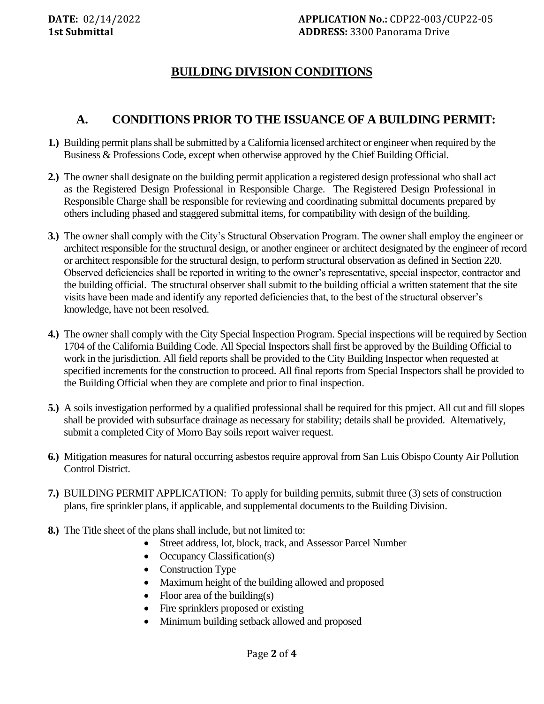# **BUILDING DIVISION CONDITIONS**

### **A. CONDITIONS PRIOR TO THE ISSUANCE OF A BUILDING PERMIT:**

- **1.)** Building permit plans shall be submitted by a California licensed architect or engineer when required by the Business & Professions Code, except when otherwise approved by the Chief Building Official.
- **2.)** The owner shall designate on the building permit application a registered design professional who shall act as the Registered Design Professional in Responsible Charge. The Registered Design Professional in Responsible Charge shall be responsible for reviewing and coordinating submittal documents prepared by others including phased and staggered submittal items, for compatibility with design of the building.
- **3.)** The owner shall comply with the City's Structural Observation Program. The owner shall employ the engineer or architect responsible for the structural design, or another engineer or architect designated by the engineer of record or architect responsible for the structural design, to perform structural observation as defined in Section 220. Observed deficiencies shall be reported in writing to the owner's representative, special inspector, contractor and the building official. The structural observer shall submit to the building official a written statement that the site visits have been made and identify any reported deficiencies that, to the best of the structural observer's knowledge, have not been resolved.
- **4.)** The owner shall comply with the City Special Inspection Program. Special inspections will be required by Section 1704 of the California Building Code. All Special Inspectors shall first be approved by the Building Official to work in the jurisdiction. All field reports shall be provided to the City Building Inspector when requested at specified increments for the construction to proceed. All final reports from Special Inspectors shall be provided to the Building Official when they are complete and prior to final inspection.
- **5.)** A soils investigation performed by a qualified professional shall be required for this project. All cut and fill slopes shall be provided with subsurface drainage as necessary for stability; details shall be provided. Alternatively, submit a completed City of Morro Bay soils report waiver request.
- **6.)** Mitigation measures for natural occurring asbestos require approval from San Luis Obispo County Air Pollution Control District.
- **7.)** BUILDING PERMIT APPLICATION: To apply for building permits, submit three (3) sets of construction plans, fire sprinkler plans, if applicable, and supplemental documents to the Building Division.
- **8.)** The Title sheet of the plans shall include, but not limited to:
	- Street address, lot, block, track, and Assessor Parcel Number
	- Occupancy Classification(s)
	- Construction Type
	- Maximum height of the building allowed and proposed
	- Floor area of the building(s)
	- Fire sprinklers proposed or existing
	- Minimum building setback allowed and proposed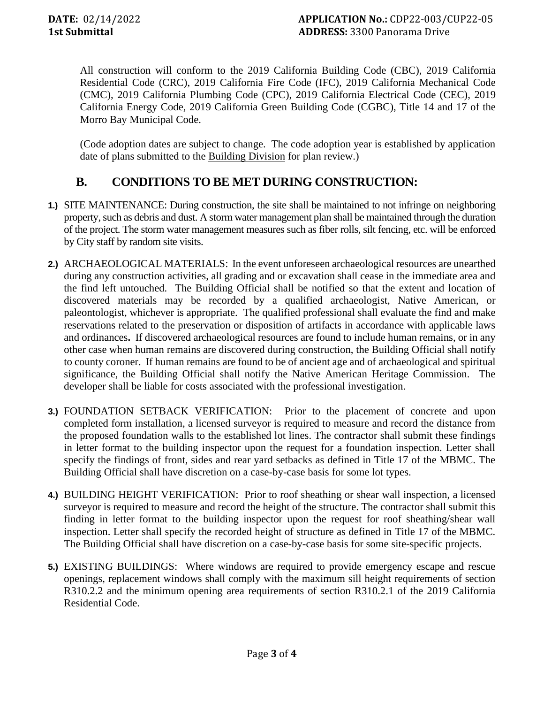All construction will conform to the 2019 California Building Code (CBC), 2019 California Residential Code (CRC), 2019 California Fire Code (IFC), 2019 California Mechanical Code (CMC), 2019 California Plumbing Code (CPC), 2019 California Electrical Code (CEC), 2019 California Energy Code, 2019 California Green Building Code (CGBC), Title 14 and 17 of the Morro Bay Municipal Code.

(Code adoption dates are subject to change. The code adoption year is established by application date of plans submitted to the Building Division for plan review.)

# **B. CONDITIONS TO BE MET DURING CONSTRUCTION:**

- **1.)** SITE MAINTENANCE: During construction, the site shall be maintained to not infringe on neighboring property, such as debris and dust. A storm water management plan shall be maintained through the duration of the project. The storm water management measures such as fiber rolls, silt fencing, etc. will be enforced by City staff by random site visits.
- **2.)** ARCHAEOLOGICAL MATERIALS: In the event unforeseen archaeological resources are unearthed during any construction activities, all grading and or excavation shall cease in the immediate area and the find left untouched. The Building Official shall be notified so that the extent and location of discovered materials may be recorded by a qualified archaeologist, Native American, or paleontologist, whichever is appropriate. The qualified professional shall evaluate the find and make reservations related to the preservation or disposition of artifacts in accordance with applicable laws and ordinances**.** If discovered archaeological resources are found to include human remains, or in any other case when human remains are discovered during construction, the Building Official shall notify to county coroner. If human remains are found to be of ancient age and of archaeological and spiritual significance, the Building Official shall notify the Native American Heritage Commission. The developer shall be liable for costs associated with the professional investigation.
- **3.)** FOUNDATION SETBACK VERIFICATION: Prior to the placement of concrete and upon completed form installation, a licensed surveyor is required to measure and record the distance from the proposed foundation walls to the established lot lines. The contractor shall submit these findings in letter format to the building inspector upon the request for a foundation inspection. Letter shall specify the findings of front, sides and rear yard setbacks as defined in Title 17 of the MBMC. The Building Official shall have discretion on a case-by-case basis for some lot types.
- **4.)** BUILDING HEIGHT VERIFICATION: Prior to roof sheathing or shear wall inspection, a licensed surveyor is required to measure and record the height of the structure. The contractor shall submit this finding in letter format to the building inspector upon the request for roof sheathing/shear wall inspection. Letter shall specify the recorded height of structure as defined in Title 17 of the MBMC. The Building Official shall have discretion on a case-by-case basis for some site-specific projects.
- **5.)** EXISTING BUILDINGS: Where windows are required to provide emergency escape and rescue openings, replacement windows shall comply with the maximum sill height requirements of section R310.2.2 and the minimum opening area requirements of section R310.2.1 of the 2019 California Residential Code.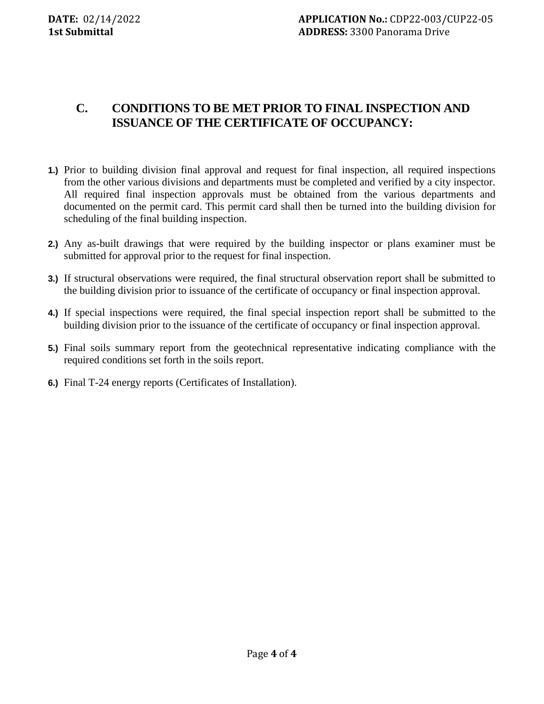# **C. CONDITIONS TO BE MET PRIOR TO FINAL INSPECTION AND ISSUANCE OF THE CERTIFICATE OF OCCUPANCY:**

- **1.)** Prior to building division final approval and request for final inspection, all required inspections from the other various divisions and departments must be completed and verified by a city inspector. All required final inspection approvals must be obtained from the various departments and documented on the permit card. This permit card shall then be turned into the building division for scheduling of the final building inspection.
- **2.)** Any as-built drawings that were required by the building inspector or plans examiner must be submitted for approval prior to the request for final inspection.
- **3.)** If structural observations were required, the final structural observation report shall be submitted to the building division prior to issuance of the certificate of occupancy or final inspection approval.
- **4.)** If special inspections were required, the final special inspection report shall be submitted to the building division prior to the issuance of the certificate of occupancy or final inspection approval.
- **5.)** Final soils summary report from the geotechnical representative indicating compliance with the required conditions set forth in the soils report.
- **6.)** Final T-24 energy reports (Certificates of Installation).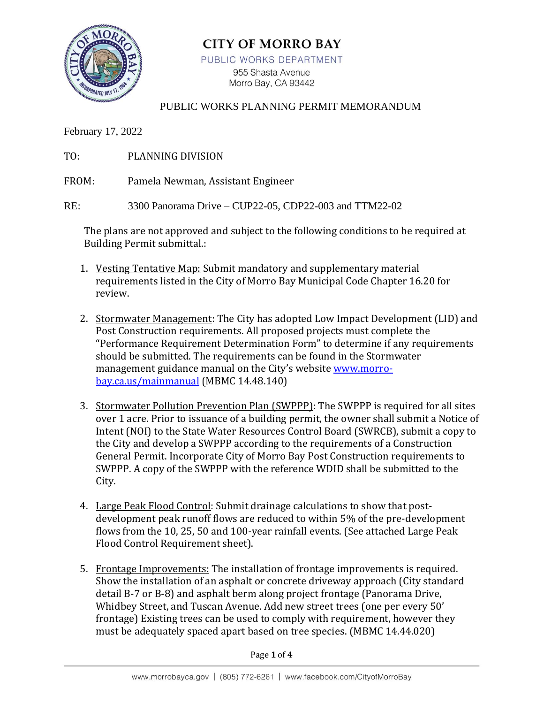

# **CITY OF MORRO BAY**

PUBLIC WORKS DEPARTMENT

955 Shasta Avenue Morro Bay, CA 93442

#### PUBLIC WORKS PLANNING PERMIT MEMORANDUM

February 17, 2022

TO: PLANNING DIVISION

FROM: Pamela Newman, Assistant Engineer

RE: 3300 Panorama Drive – CUP22-05, CDP22-003 and TTM22-02

The plans are not approved and subject to the following conditions to be required at Building Permit submittal.:

- 1. Vesting Tentative Map: Submit mandatory and supplementary material requirements listed in the City of Morro Bay Municipal Code Chapter 16.20 for review.
- 2. Stormwater Management: The City has adopted Low Impact Development (LID) and Post Construction requirements. All proposed projects must complete the "Performance Requirement Determination Form" to determine if any requirements should be submitted. The requirements can be found in the Stormwater management guidance manual on the City's website [www.morro](http://www.morro-bay.ca.us/mainmanual)[bay.ca.us/mainmanual](http://www.morro-bay.ca.us/mainmanual) (MBMC 14.48.140)
- 3. Stormwater Pollution Prevention Plan (SWPPP): The SWPPP is required for all sites over 1 acre. Prior to issuance of a building permit, the owner shall submit a Notice of Intent (NOI) to the State Water Resources Control Board (SWRCB), submit a copy to the City and develop a SWPPP according to the requirements of a Construction General Permit. Incorporate City of Morro Bay Post Construction requirements to SWPPP. A copy of the SWPPP with the reference WDID shall be submitted to the City.
- 4. Large Peak Flood Control: Submit drainage calculations to show that postdevelopment peak runoff flows are reduced to within 5% of the pre-development flows from the 10, 25, 50 and 100-year rainfall events. (See attached Large Peak Flood Control Requirement sheet).
- 5. Frontage Improvements: The installation of frontage improvements is required. Show the installation of an asphalt or concrete driveway approach (City standard detail B-7 or B-8) and asphalt berm along project frontage (Panorama Drive, Whidbey Street, and Tuscan Avenue. Add new street trees (one per every 50' frontage) Existing trees can be used to comply with requirement, however they must be adequately spaced apart based on tree species. (MBMC 14.44.020)

Page **1** of **4**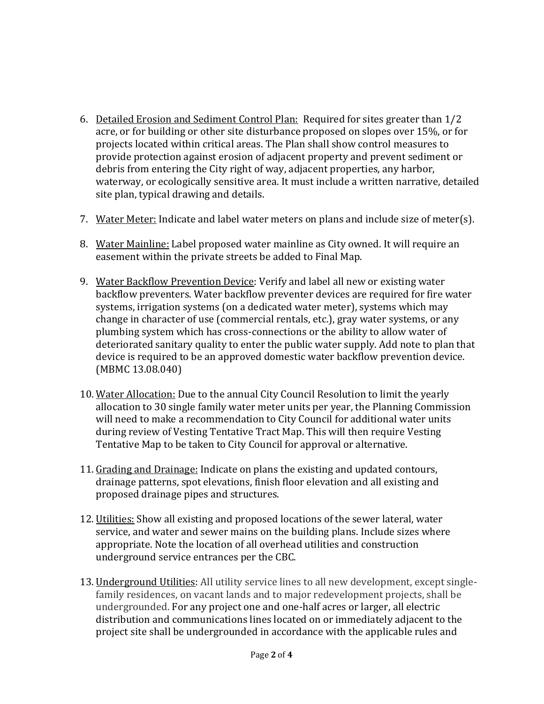- 6. Detailed Erosion and Sediment Control Plan: Required for sites greater than 1/2 acre, or for building or other site disturbance proposed on slopes over 15%, or for projects located within critical areas. The Plan shall show control measures to provide protection against erosion of adjacent property and prevent sediment or debris from entering the City right of way, adjacent properties, any harbor, waterway, or ecologically sensitive area. It must include a written narrative, detailed site plan, typical drawing and details.
- 7. Water Meter: Indicate and label water meters on plans and include size of meter(s).
- 8. Water Mainline: Label proposed water mainline as City owned. It will require an easement within the private streets be added to Final Map.
- 9. Water Backflow Prevention Device: Verify and label all new or existing water backflow preventers. Water backflow preventer devices are required for fire water systems, irrigation systems (on a dedicated water meter), systems which may change in character of use (commercial rentals, etc.), gray water systems, or any plumbing system which has cross-connections or the ability to allow water of deteriorated sanitary quality to enter the public water supply. Add note to plan that device is required to be an approved domestic water backflow prevention device. (MBMC 13.08.040)
- 10. Water Allocation: Due to the annual City Council Resolution to limit the yearly allocation to 30 single family water meter units per year, the Planning Commission will need to make a recommendation to City Council for additional water units during review of Vesting Tentative Tract Map. This will then require Vesting Tentative Map to be taken to City Council for approval or alternative.
- 11. Grading and Drainage: Indicate on plans the existing and updated contours, drainage patterns, spot elevations, finish floor elevation and all existing and proposed drainage pipes and structures.
- 12. Utilities: Show all existing and proposed locations of the sewer lateral, water service, and water and sewer mains on the building plans. Include sizes where appropriate. Note the location of all overhead utilities and construction underground service entrances per the CBC.
- 13. Underground Utilities: All utility service lines to all new development, except singlefamily residences, on vacant lands and to major redevelopment projects, shall be undergrounded. For any project one and one-half acres or larger, all electric distribution and communications lines located on or immediately adjacent to the project site shall be undergrounded in accordance with the applicable rules and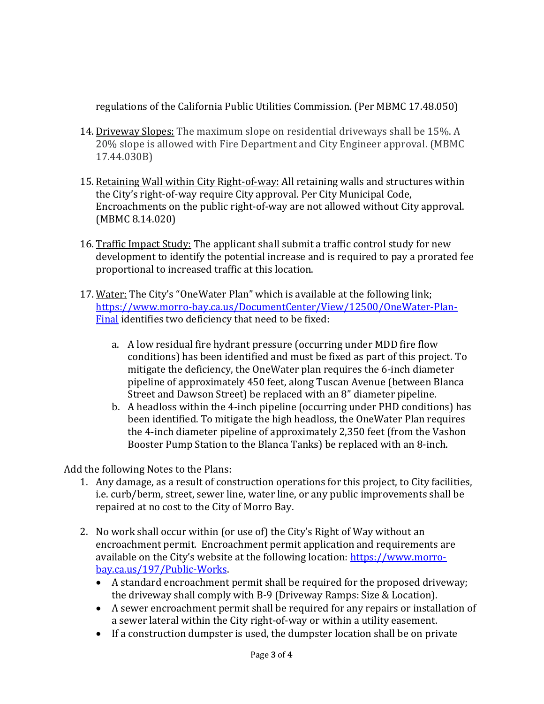regulations of the California Public Utilities Commission. (Per MBMC 17.48.050)

- 14. Driveway Slopes: The maximum slope on residential driveways shall be 15%. A 20% slope is allowed with Fire Department and City Engineer approval. (MBMC 17.44.030B)
- 15. Retaining Wall within City Right-of-way: All retaining walls and structures within the City's right-of-way require City approval. Per City Municipal Code, Encroachments on the public right-of-way are not allowed without City approval. (MBMC 8.14.020)
- 16. Traffic Impact Study: The applicant shall submit a traffic control study for new development to identify the potential increase and is required to pay a prorated fee proportional to increased traffic at this location.
- 17. Water: The City's "OneWater Plan" which is available at the following link; [https://www.morro-bay.ca.us/DocumentCenter/View/12500/OneWater-Plan-](https://www.morro-bay.ca.us/DocumentCenter/View/12500/OneWater-Plan-Final)[Final](https://www.morro-bay.ca.us/DocumentCenter/View/12500/OneWater-Plan-Final) identifies two deficiency that need to be fixed:
	- a. A low residual fire hydrant pressure (occurring under MDD fire flow conditions) has been identified and must be fixed as part of this project. To mitigate the deficiency, the OneWater plan requires the 6-inch diameter pipeline of approximately 450 feet, along Tuscan Avenue (between Blanca Street and Dawson Street) be replaced with an 8" diameter pipeline.
	- b. A headloss within the 4-inch pipeline (occurring under PHD conditions) has been identified. To mitigate the high headloss, the OneWater Plan requires the 4-inch diameter pipeline of approximately 2,350 feet (from the Vashon Booster Pump Station to the Blanca Tanks) be replaced with an 8-inch.

Add the following Notes to the Plans:

- 1. Any damage, as a result of construction operations for this project, to City facilities, i.e. curb/berm, street, sewer line, water line, or any public improvements shall be repaired at no cost to the City of Morro Bay.
- 2. No work shall occur within (or use of) the City's Right of Way without an encroachment permit. Encroachment permit application and requirements are available on the City's website at the following location: [https://www.morro](https://www.morro-bay.ca.us/197/Public-Works)[bay.ca.us/197/Public-Works.](https://www.morro-bay.ca.us/197/Public-Works)
	- A standard encroachment permit shall be required for the proposed driveway; the driveway shall comply with B-9 (Driveway Ramps: Size & Location).
	- A sewer encroachment permit shall be required for any repairs or installation of a sewer lateral within the City right-of-way or within a utility easement.
	- If a construction dumpster is used, the dumpster location shall be on private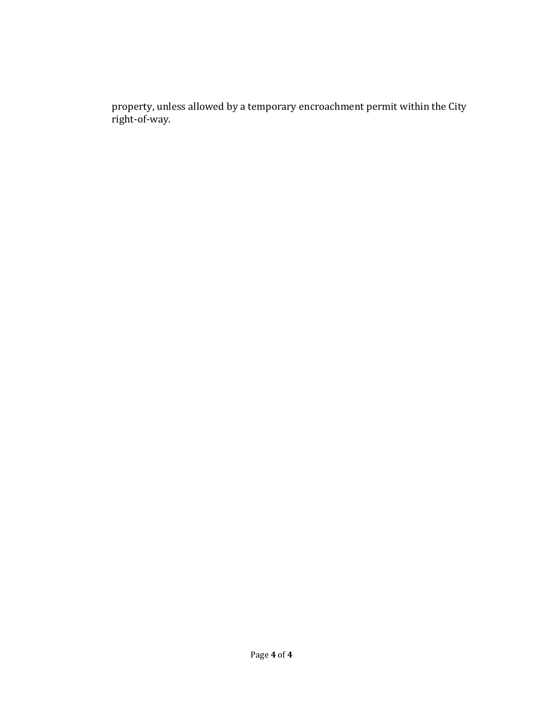property, unless allowed by a temporary encroachment permit within the City right-of-way.